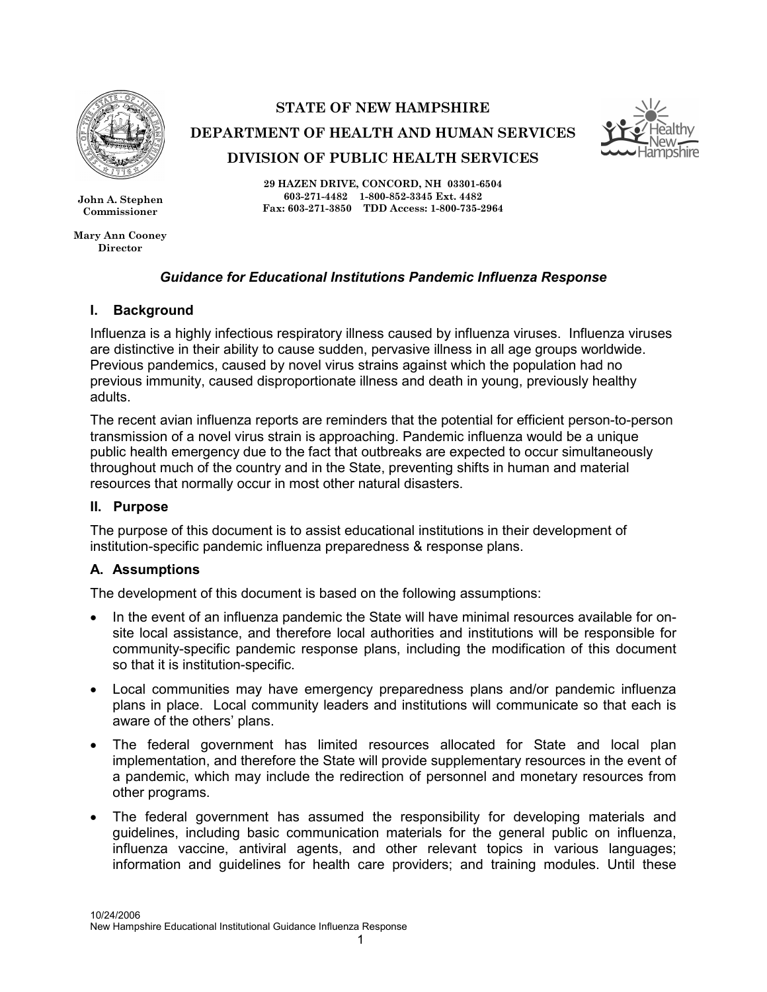

John A. Stephen Commissioner

Mary Ann Cooney Director

## STATE OF NEW HAMPSHIRE

DEPARTMENT OF HEALTH AND HUMAN SERVICES DIVISION OF PUBLIC HEALTH SERVICES



29 HAZEN DRIVE, CONCORD, NH 03301-6504 603-271-4482 1-800-852-3345 Ext. 4482 Fax: 603-271-3850 TDD Access: 1-800-735-2964

### Guidance for Educational Institutions Pandemic Influenza Response

### I. Background

Influenza is a highly infectious respiratory illness caused by influenza viruses. Influenza viruses are distinctive in their ability to cause sudden, pervasive illness in all age groups worldwide. Previous pandemics, caused by novel virus strains against which the population had no previous immunity, caused disproportionate illness and death in young, previously healthy adults.

The recent avian influenza reports are reminders that the potential for efficient person-to-person transmission of a novel virus strain is approaching. Pandemic influenza would be a unique public health emergency due to the fact that outbreaks are expected to occur simultaneously throughout much of the country and in the State, preventing shifts in human and material resources that normally occur in most other natural disasters.

#### II. Purpose

The purpose of this document is to assist educational institutions in their development of institution-specific pandemic influenza preparedness & response plans.

### A. Assumptions

The development of this document is based on the following assumptions:

- In the event of an influenza pandemic the State will have minimal resources available for onsite local assistance, and therefore local authorities and institutions will be responsible for community-specific pandemic response plans, including the modification of this document so that it is institution-specific.
- Local communities may have emergency preparedness plans and/or pandemic influenza plans in place. Local community leaders and institutions will communicate so that each is aware of the others' plans.
- The federal government has limited resources allocated for State and local plan implementation, and therefore the State will provide supplementary resources in the event of a pandemic, which may include the redirection of personnel and monetary resources from other programs.
- The federal government has assumed the responsibility for developing materials and guidelines, including basic communication materials for the general public on influenza, influenza vaccine, antiviral agents, and other relevant topics in various languages; information and guidelines for health care providers; and training modules. Until these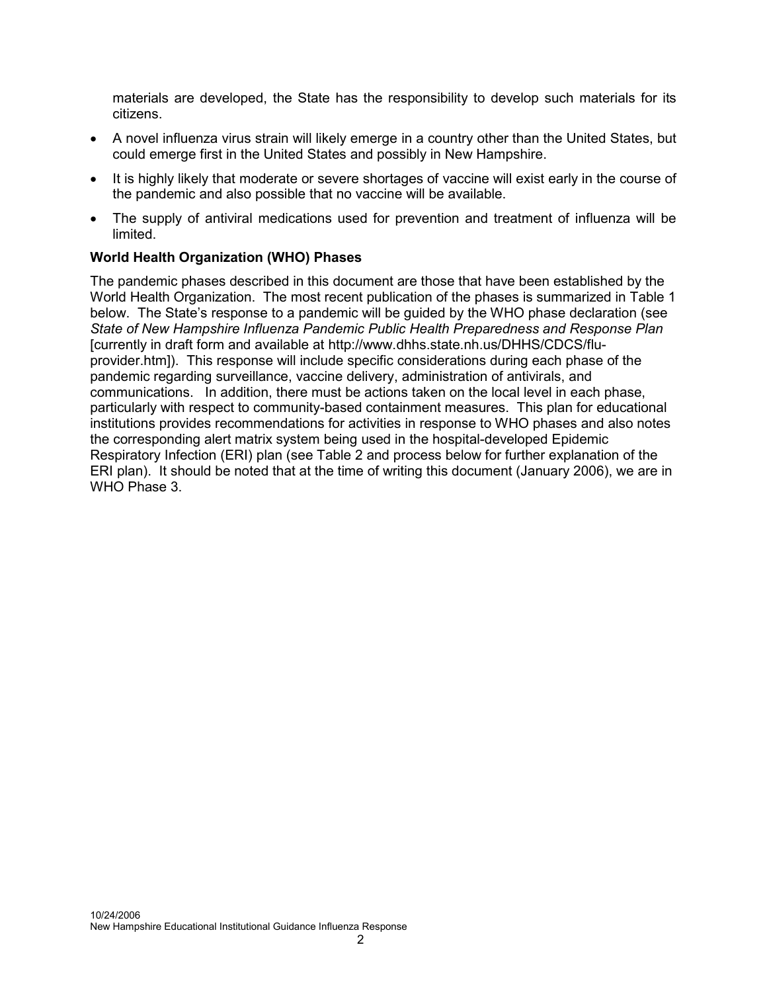materials are developed, the State has the responsibility to develop such materials for its citizens.

- A novel influenza virus strain will likely emerge in a country other than the United States, but could emerge first in the United States and possibly in New Hampshire.
- It is highly likely that moderate or severe shortages of vaccine will exist early in the course of the pandemic and also possible that no vaccine will be available.
- The supply of antiviral medications used for prevention and treatment of influenza will be limited.

## World Health Organization (WHO) Phases

The pandemic phases described in this document are those that have been established by the World Health Organization. The most recent publication of the phases is summarized in Table 1 below. The State's response to a pandemic will be guided by the WHO phase declaration (see State of New Hampshire Influenza Pandemic Public Health Preparedness and Response Plan [currently in draft form and available at http://www.dhhs.state.nh.us/DHHS/CDCS/fluprovider.htm]). This response will include specific considerations during each phase of the pandemic regarding surveillance, vaccine delivery, administration of antivirals, and communications. In addition, there must be actions taken on the local level in each phase, particularly with respect to community-based containment measures. This plan for educational institutions provides recommendations for activities in response to WHO phases and also notes the corresponding alert matrix system being used in the hospital-developed Epidemic Respiratory Infection (ERI) plan (see Table 2 and process below for further explanation of the ERI plan). It should be noted that at the time of writing this document (January 2006), we are in WHO Phase 3.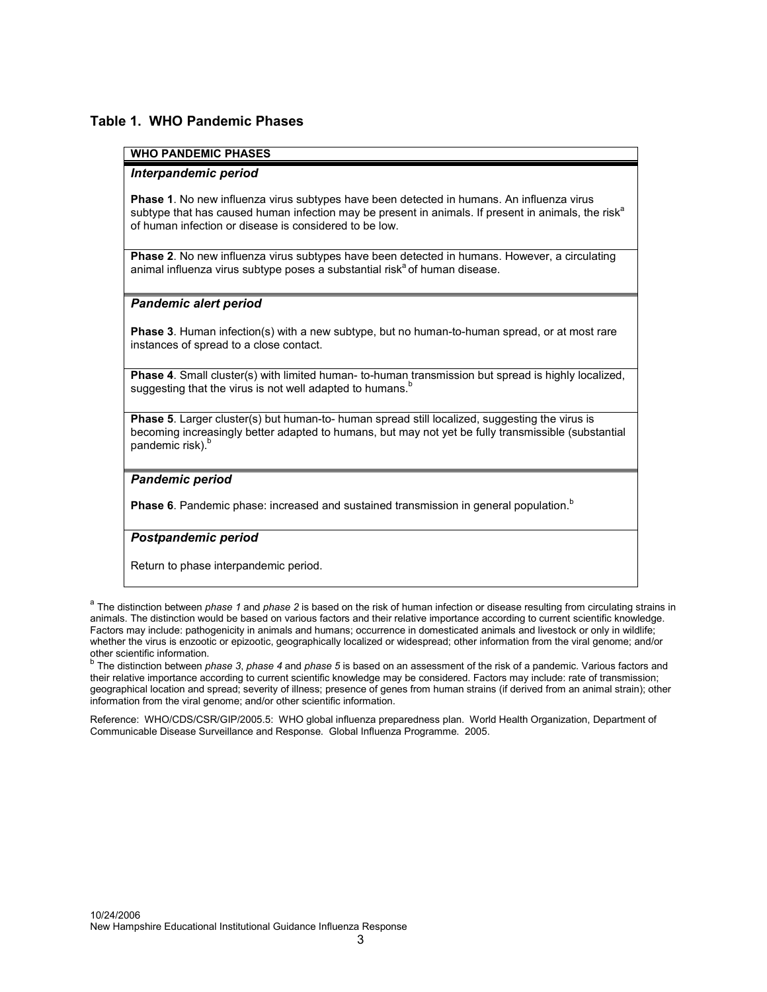#### Table 1. WHO Pandemic Phases

#### WHO PANDEMIC PHASES

#### Interpandemic period

Phase 1. No new influenza virus subtypes have been detected in humans. An influenza virus subtype that has caused human infection may be present in animals. If present in animals, the risk<sup>a</sup> of human infection or disease is considered to be low.

Phase 2. No new influenza virus subtypes have been detected in humans. However, a circulating animal influenza virus subtype poses a substantial risk<sup>a</sup> of human disease.

#### Pandemic alert period

Phase 3. Human infection(s) with a new subtype, but no human-to-human spread, or at most rare instances of spread to a close contact.

Phase 4. Small cluster(s) with limited human- to-human transmission but spread is highly localized, suggesting that the virus is not well adapted to humans.<sup>b</sup>

Phase 5. Larger cluster(s) but human-to- human spread still localized, suggesting the virus is becoming increasingly better adapted to humans, but may not yet be fully transmissible (substantial pandemic risk).<sup>b</sup>

#### Pandemic period

Phase 6. Pandemic phase: increased and sustained transmission in general population.<sup>b</sup>

#### Postpandemic period

Return to phase interpandemic period.

<sup>a</sup> The distinction between *phase 1* and *phase 2* is based on the risk of human infection or disease resulting from circulating strains in animals. The distinction would be based on various factors and their relative importance according to current scientific knowledge. Factors may include: pathogenicity in animals and humans; occurrence in domesticated animals and livestock or only in wildlife; whether the virus is enzootic or epizootic, geographically localized or widespread; other information from the viral genome; and/or other scientific information.

<sup>b</sup> The distinction between *phase 3, phase 4* and *phase 5* is based on an assessment of the risk of a pandemic. Various factors and their relative importance according to current scientific knowledge may be considered. Factors may include: rate of transmission; geographical location and spread; severity of illness; presence of genes from human strains (if derived from an animal strain); other information from the viral genome; and/or other scientific information.

Reference: WHO/CDS/CSR/GIP/2005.5: WHO global influenza preparedness plan. World Health Organization, Department of Communicable Disease Surveillance and Response. Global Influenza Programme. 2005.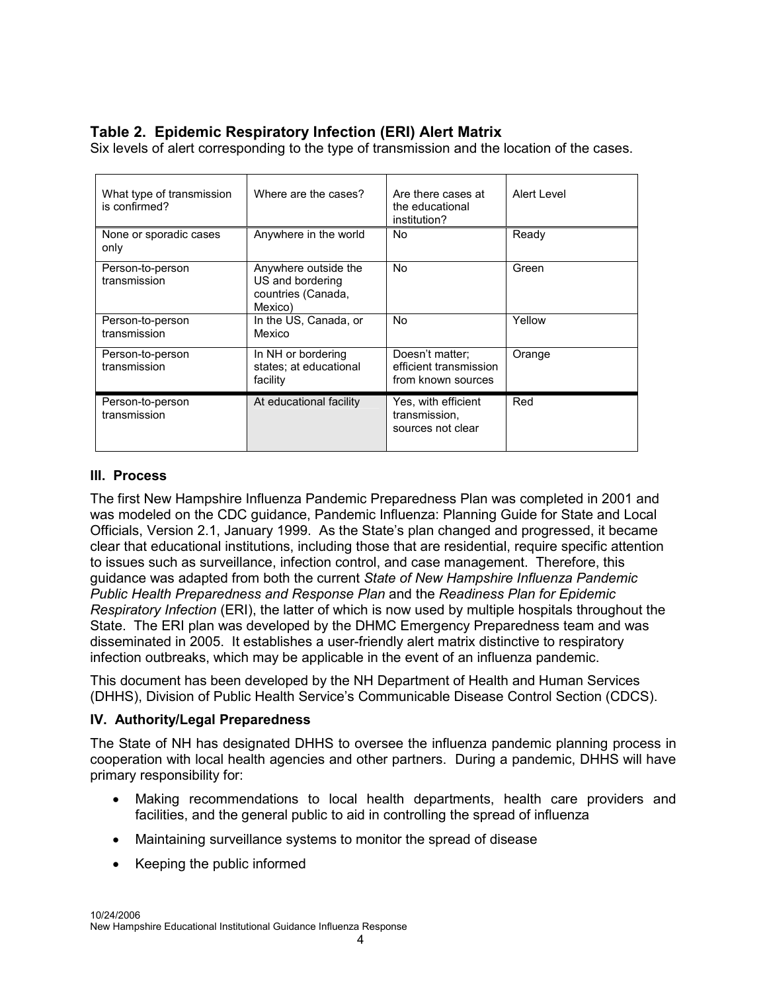# Table 2. Epidemic Respiratory Infection (ERI) Alert Matrix

What type of transmission is confirmed? Where are the cases?  $\vert$  Are there cases at the educational institution? Alert Level None or sporadic cases only Anywhere in the world No Ready Person-to-person transmission Anywhere outside the US and bordering countries (Canada, Mexico) No Green Person-to-person transmission In the US, Canada, or Mexico No Yellow Person-to-person transmission In NH or bordering states; at educational facility Doesn't matter; efficient transmission from known sources **Orange** Person-to-person transmission At educational facility Yes, with efficient transmission, sources not clear Red

Six levels of alert corresponding to the type of transmission and the location of the cases.

### III. Process

The first New Hampshire Influenza Pandemic Preparedness Plan was completed in 2001 and was modeled on the CDC guidance, Pandemic Influenza: Planning Guide for State and Local Officials, Version 2.1, January 1999. As the State's plan changed and progressed, it became clear that educational institutions, including those that are residential, require specific attention to issues such as surveillance, infection control, and case management. Therefore, this guidance was adapted from both the current State of New Hampshire Influenza Pandemic Public Health Preparedness and Response Plan and the Readiness Plan for Epidemic Respiratory Infection (ERI), the latter of which is now used by multiple hospitals throughout the State. The ERI plan was developed by the DHMC Emergency Preparedness team and was disseminated in 2005. It establishes a user-friendly alert matrix distinctive to respiratory infection outbreaks, which may be applicable in the event of an influenza pandemic.

This document has been developed by the NH Department of Health and Human Services (DHHS), Division of Public Health Service's Communicable Disease Control Section (CDCS).

### IV. Authority/Legal Preparedness

The State of NH has designated DHHS to oversee the influenza pandemic planning process in cooperation with local health agencies and other partners. During a pandemic, DHHS will have primary responsibility for:

- Making recommendations to local health departments, health care providers and facilities, and the general public to aid in controlling the spread of influenza
- Maintaining surveillance systems to monitor the spread of disease
- Keeping the public informed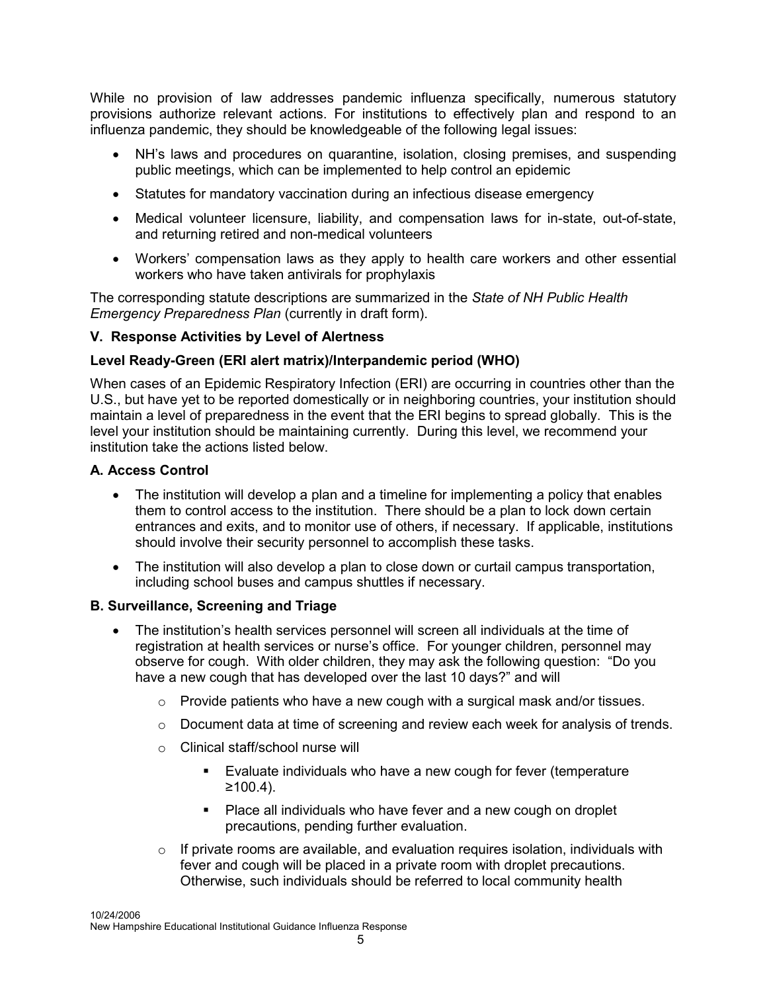While no provision of law addresses pandemic influenza specifically, numerous statutory provisions authorize relevant actions. For institutions to effectively plan and respond to an influenza pandemic, they should be knowledgeable of the following legal issues:

- NH's laws and procedures on quarantine, isolation, closing premises, and suspending public meetings, which can be implemented to help control an epidemic
- Statutes for mandatory vaccination during an infectious disease emergency
- Medical volunteer licensure, liability, and compensation laws for in-state, out-of-state, and returning retired and non-medical volunteers
- Workers' compensation laws as they apply to health care workers and other essential workers who have taken antivirals for prophylaxis

The corresponding statute descriptions are summarized in the State of NH Public Health Emergency Preparedness Plan (currently in draft form).

## V. Response Activities by Level of Alertness

## Level Ready-Green (ERI alert matrix)/Interpandemic period (WHO)

When cases of an Epidemic Respiratory Infection (ERI) are occurring in countries other than the U.S., but have yet to be reported domestically or in neighboring countries, your institution should maintain a level of preparedness in the event that the ERI begins to spread globally. This is the level your institution should be maintaining currently. During this level, we recommend your institution take the actions listed below.

### A. Access Control

- The institution will develop a plan and a timeline for implementing a policy that enables them to control access to the institution. There should be a plan to lock down certain entrances and exits, and to monitor use of others, if necessary. If applicable, institutions should involve their security personnel to accomplish these tasks.
- The institution will also develop a plan to close down or curtail campus transportation, including school buses and campus shuttles if necessary.

### B. Surveillance, Screening and Triage

- The institution's health services personnel will screen all individuals at the time of registration at health services or nurse's office. For younger children, personnel may observe for cough. With older children, they may ask the following question: "Do you have a new cough that has developed over the last 10 days?" and will
	- $\circ$  Provide patients who have a new cough with a surgical mask and/or tissues.
	- $\circ$  Document data at time of screening and review each week for analysis of trends.
	- o Clinical staff/school nurse will
		- Evaluate individuals who have a new cough for fever (temperature  $≥100.4$ ).
		- Place all individuals who have fever and a new cough on droplet precautions, pending further evaluation.
	- $\circ$  If private rooms are available, and evaluation requires isolation, individuals with fever and cough will be placed in a private room with droplet precautions. Otherwise, such individuals should be referred to local community health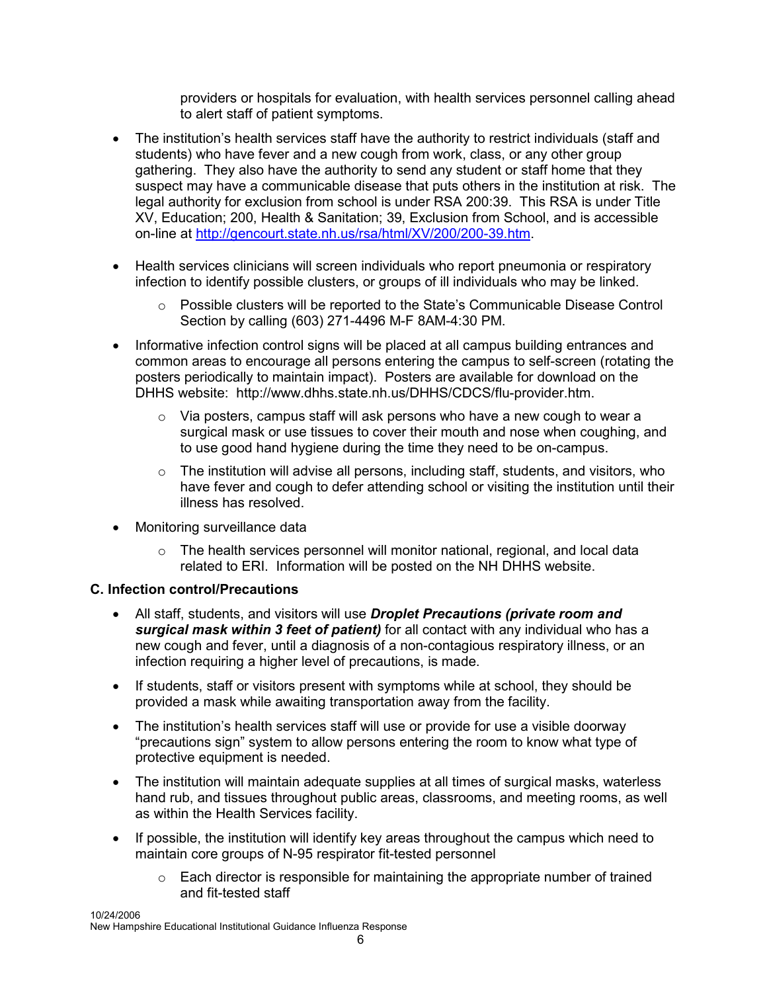providers or hospitals for evaluation, with health services personnel calling ahead to alert staff of patient symptoms.

- The institution's health services staff have the authority to restrict individuals (staff and students) who have fever and a new cough from work, class, or any other group gathering. They also have the authority to send any student or staff home that they suspect may have a communicable disease that puts others in the institution at risk. The legal authority for exclusion from school is under RSA 200:39. This RSA is under Title XV, Education; 200, Health & Sanitation; 39, Exclusion from School, and is accessible on-line at http://gencourt.state.nh.us/rsa/html/XV/200/200-39.htm.
- Health services clinicians will screen individuals who report pneumonia or respiratory infection to identify possible clusters, or groups of ill individuals who may be linked.
	- $\circ$  Possible clusters will be reported to the State's Communicable Disease Control Section by calling (603) 271-4496 M-F 8AM-4:30 PM.
- Informative infection control signs will be placed at all campus building entrances and common areas to encourage all persons entering the campus to self-screen (rotating the posters periodically to maintain impact). Posters are available for download on the DHHS website: http://www.dhhs.state.nh.us/DHHS/CDCS/flu-provider.htm.
	- $\circ$  Via posters, campus staff will ask persons who have a new cough to wear a surgical mask or use tissues to cover their mouth and nose when coughing, and to use good hand hygiene during the time they need to be on-campus.
	- $\circ$  The institution will advise all persons, including staff, students, and visitors, who have fever and cough to defer attending school or visiting the institution until their illness has resolved.
- Monitoring surveillance data
	- $\circ$  The health services personnel will monitor national, regional, and local data related to ERI. Information will be posted on the NH DHHS website.

### C. Infection control/Precautions

- All staff, students, and visitors will use **Droplet Precautions (private room and** surgical mask within 3 feet of patient) for all contact with any individual who has a new cough and fever, until a diagnosis of a non-contagious respiratory illness, or an infection requiring a higher level of precautions, is made.
- If students, staff or visitors present with symptoms while at school, they should be provided a mask while awaiting transportation away from the facility.
- The institution's health services staff will use or provide for use a visible doorway "precautions sign" system to allow persons entering the room to know what type of protective equipment is needed.
- The institution will maintain adequate supplies at all times of surgical masks, waterless hand rub, and tissues throughout public areas, classrooms, and meeting rooms, as well as within the Health Services facility.
- If possible, the institution will identify key areas throughout the campus which need to maintain core groups of N-95 respirator fit-tested personnel
	- $\circ$  Each director is responsible for maintaining the appropriate number of trained and fit-tested staff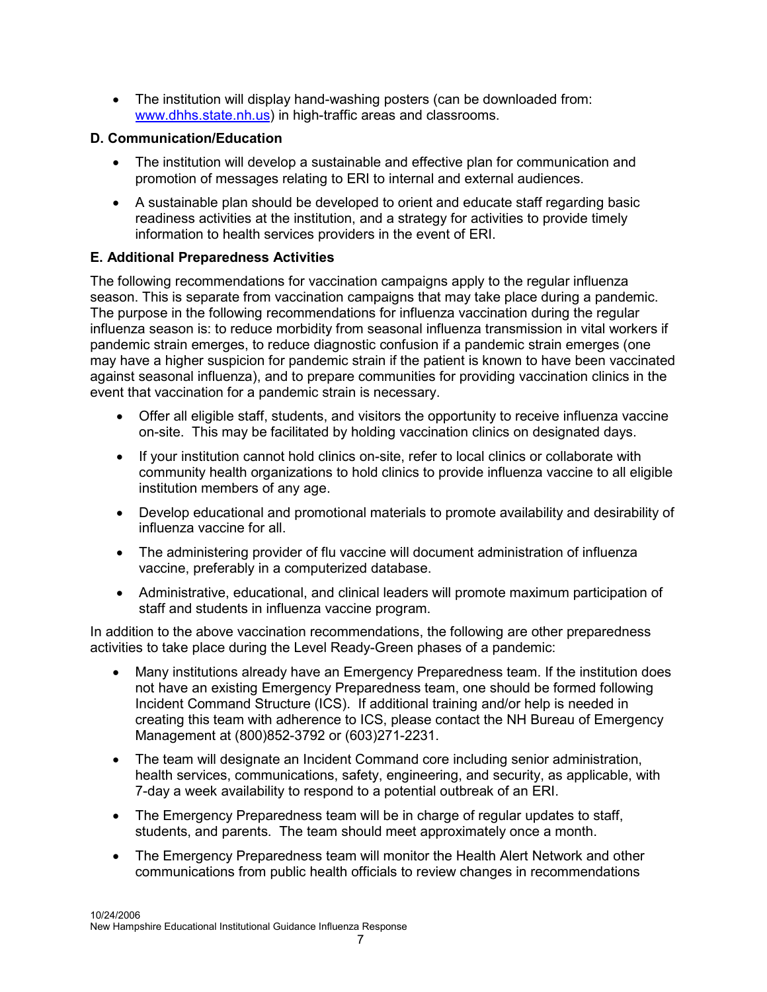• The institution will display hand-washing posters (can be downloaded from: www.dhhs.state.nh.us) in high-traffic areas and classrooms.

## D. Communication/Education

- The institution will develop a sustainable and effective plan for communication and promotion of messages relating to ERI to internal and external audiences.
- A sustainable plan should be developed to orient and educate staff regarding basic readiness activities at the institution, and a strategy for activities to provide timely information to health services providers in the event of ERI.

## E. Additional Preparedness Activities

The following recommendations for vaccination campaigns apply to the regular influenza season. This is separate from vaccination campaigns that may take place during a pandemic. The purpose in the following recommendations for influenza vaccination during the regular influenza season is: to reduce morbidity from seasonal influenza transmission in vital workers if pandemic strain emerges, to reduce diagnostic confusion if a pandemic strain emerges (one may have a higher suspicion for pandemic strain if the patient is known to have been vaccinated against seasonal influenza), and to prepare communities for providing vaccination clinics in the event that vaccination for a pandemic strain is necessary.

- Offer all eligible staff, students, and visitors the opportunity to receive influenza vaccine on-site. This may be facilitated by holding vaccination clinics on designated days.
- If your institution cannot hold clinics on-site, refer to local clinics or collaborate with community health organizations to hold clinics to provide influenza vaccine to all eligible institution members of any age.
- Develop educational and promotional materials to promote availability and desirability of influenza vaccine for all.
- The administering provider of flu vaccine will document administration of influenza vaccine, preferably in a computerized database.
- Administrative, educational, and clinical leaders will promote maximum participation of staff and students in influenza vaccine program.

In addition to the above vaccination recommendations, the following are other preparedness activities to take place during the Level Ready-Green phases of a pandemic:

- Many institutions already have an Emergency Preparedness team. If the institution does not have an existing Emergency Preparedness team, one should be formed following Incident Command Structure (ICS). If additional training and/or help is needed in creating this team with adherence to ICS, please contact the NH Bureau of Emergency Management at (800)852-3792 or (603)271-2231.
- The team will designate an Incident Command core including senior administration, health services, communications, safety, engineering, and security, as applicable, with 7-day a week availability to respond to a potential outbreak of an ERI.
- The Emergency Preparedness team will be in charge of regular updates to staff, students, and parents. The team should meet approximately once a month.
- The Emergency Preparedness team will monitor the Health Alert Network and other communications from public health officials to review changes in recommendations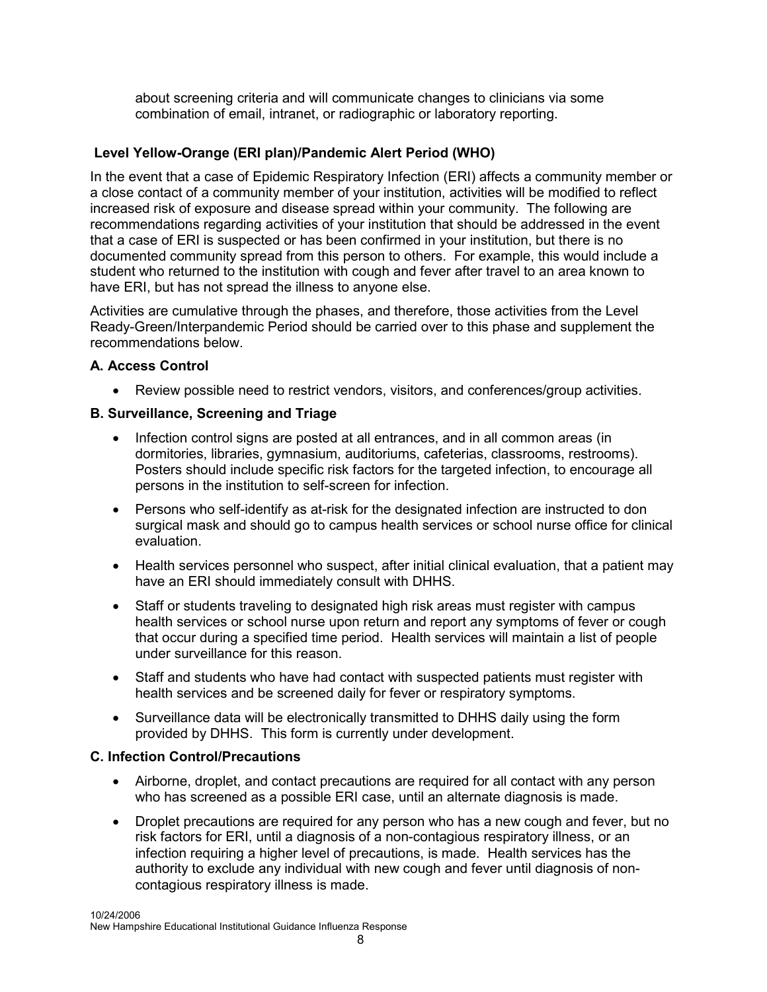about screening criteria and will communicate changes to clinicians via some combination of email, intranet, or radiographic or laboratory reporting.

## Level Yellow-Orange (ERI plan)/Pandemic Alert Period (WHO)

In the event that a case of Epidemic Respiratory Infection (ERI) affects a community member or a close contact of a community member of your institution, activities will be modified to reflect increased risk of exposure and disease spread within your community. The following are recommendations regarding activities of your institution that should be addressed in the event that a case of ERI is suspected or has been confirmed in your institution, but there is no documented community spread from this person to others. For example, this would include a student who returned to the institution with cough and fever after travel to an area known to have ERI, but has not spread the illness to anyone else.

Activities are cumulative through the phases, and therefore, those activities from the Level Ready-Green/Interpandemic Period should be carried over to this phase and supplement the recommendations below.

### A. Access Control

• Review possible need to restrict vendors, visitors, and conferences/group activities.

### B. Surveillance, Screening and Triage

- Infection control signs are posted at all entrances, and in all common areas (in dormitories, libraries, gymnasium, auditoriums, cafeterias, classrooms, restrooms). Posters should include specific risk factors for the targeted infection, to encourage all persons in the institution to self-screen for infection.
- Persons who self-identify as at-risk for the designated infection are instructed to don surgical mask and should go to campus health services or school nurse office for clinical evaluation.
- Health services personnel who suspect, after initial clinical evaluation, that a patient may have an ERI should immediately consult with DHHS.
- Staff or students traveling to designated high risk areas must register with campus health services or school nurse upon return and report any symptoms of fever or cough that occur during a specified time period. Health services will maintain a list of people under surveillance for this reason.
- Staff and students who have had contact with suspected patients must register with health services and be screened daily for fever or respiratory symptoms.
- Surveillance data will be electronically transmitted to DHHS daily using the form provided by DHHS. This form is currently under development.

### C. Infection Control/Precautions

- Airborne, droplet, and contact precautions are required for all contact with any person who has screened as a possible ERI case, until an alternate diagnosis is made.
- Droplet precautions are required for any person who has a new cough and fever, but no risk factors for ERI, until a diagnosis of a non-contagious respiratory illness, or an infection requiring a higher level of precautions, is made. Health services has the authority to exclude any individual with new cough and fever until diagnosis of noncontagious respiratory illness is made.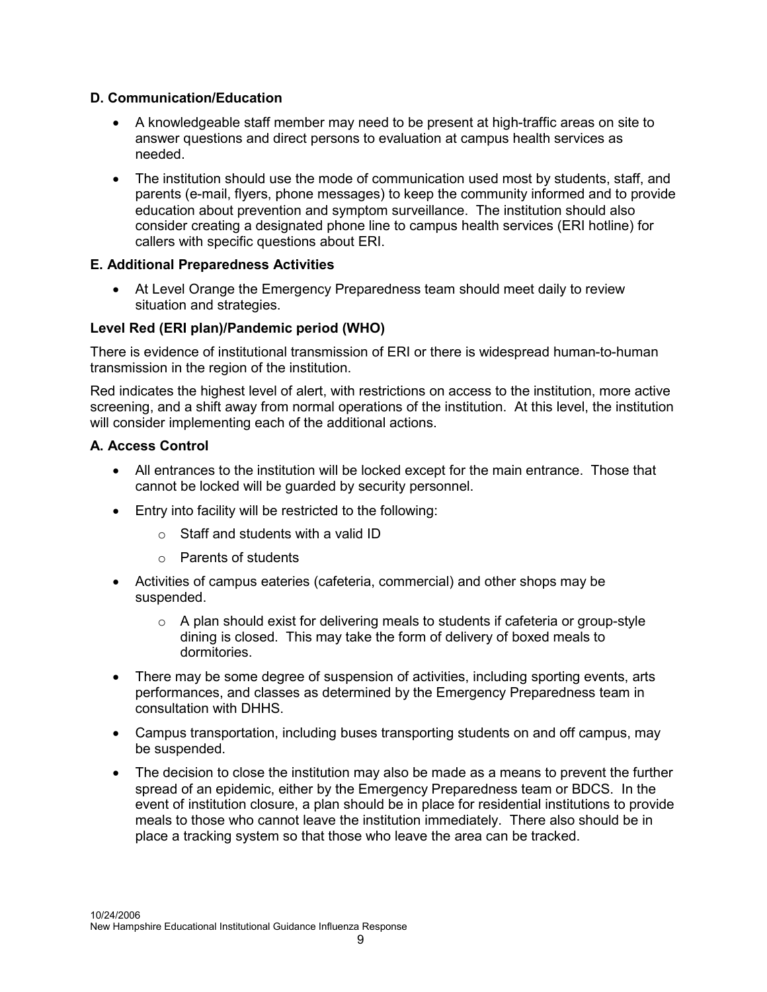## D. Communication/Education

- A knowledgeable staff member may need to be present at high-traffic areas on site to answer questions and direct persons to evaluation at campus health services as needed.
- The institution should use the mode of communication used most by students, staff, and parents (e-mail, flyers, phone messages) to keep the community informed and to provide education about prevention and symptom surveillance. The institution should also consider creating a designated phone line to campus health services (ERI hotline) for callers with specific questions about ERI.

## E. Additional Preparedness Activities

• At Level Orange the Emergency Preparedness team should meet daily to review situation and strategies.

## Level Red (ERI plan)/Pandemic period (WHO)

There is evidence of institutional transmission of ERI or there is widespread human-to-human transmission in the region of the institution.

Red indicates the highest level of alert, with restrictions on access to the institution, more active screening, and a shift away from normal operations of the institution. At this level, the institution will consider implementing each of the additional actions.

## A. Access Control

- All entrances to the institution will be locked except for the main entrance. Those that cannot be locked will be guarded by security personnel.
- Entry into facility will be restricted to the following:
	- $\circ$  Staff and students with a valid ID
	- o Parents of students
- Activities of campus eateries (cafeteria, commercial) and other shops may be suspended.
	- $\circ$  A plan should exist for delivering meals to students if cafeteria or group-style dining is closed. This may take the form of delivery of boxed meals to dormitories.
- There may be some degree of suspension of activities, including sporting events, arts performances, and classes as determined by the Emergency Preparedness team in consultation with DHHS.
- Campus transportation, including buses transporting students on and off campus, may be suspended.
- The decision to close the institution may also be made as a means to prevent the further spread of an epidemic, either by the Emergency Preparedness team or BDCS. In the event of institution closure, a plan should be in place for residential institutions to provide meals to those who cannot leave the institution immediately. There also should be in place a tracking system so that those who leave the area can be tracked.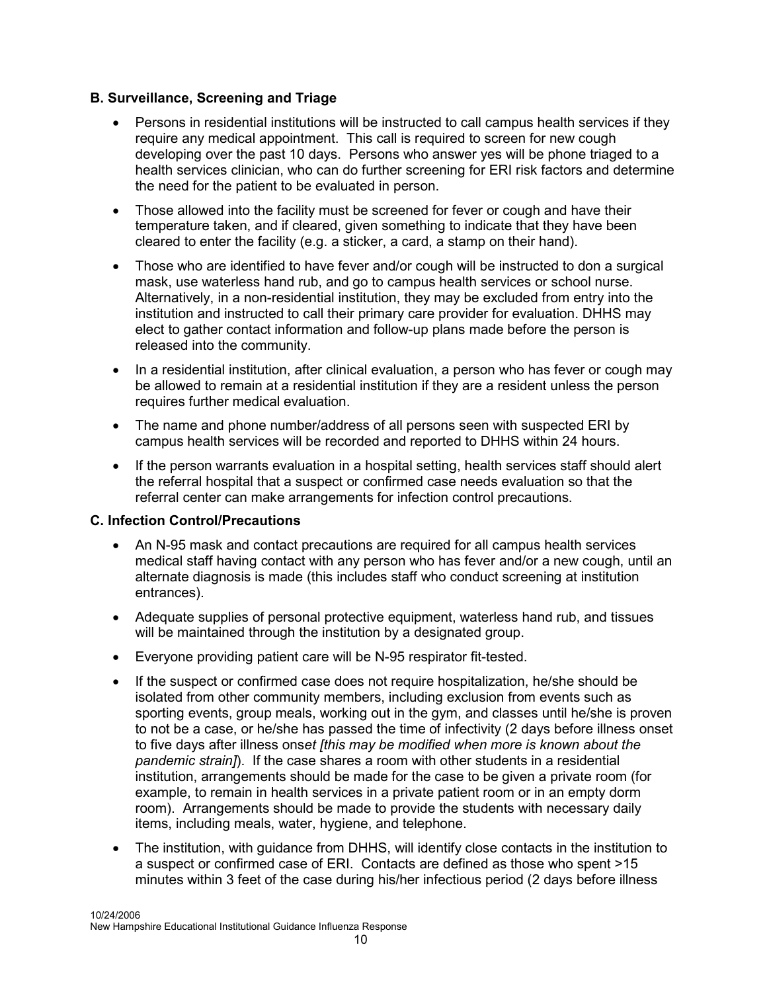## B. Surveillance, Screening and Triage

- Persons in residential institutions will be instructed to call campus health services if they require any medical appointment. This call is required to screen for new cough developing over the past 10 days. Persons who answer yes will be phone triaged to a health services clinician, who can do further screening for ERI risk factors and determine the need for the patient to be evaluated in person.
- Those allowed into the facility must be screened for fever or cough and have their temperature taken, and if cleared, given something to indicate that they have been cleared to enter the facility (e.g. a sticker, a card, a stamp on their hand).
- Those who are identified to have fever and/or cough will be instructed to don a surgical mask, use waterless hand rub, and go to campus health services or school nurse. Alternatively, in a non-residential institution, they may be excluded from entry into the institution and instructed to call their primary care provider for evaluation. DHHS may elect to gather contact information and follow-up plans made before the person is released into the community.
- In a residential institution, after clinical evaluation, a person who has fever or cough may be allowed to remain at a residential institution if they are a resident unless the person requires further medical evaluation.
- The name and phone number/address of all persons seen with suspected ERI by campus health services will be recorded and reported to DHHS within 24 hours.
- If the person warrants evaluation in a hospital setting, health services staff should alert the referral hospital that a suspect or confirmed case needs evaluation so that the referral center can make arrangements for infection control precautions.

### C. Infection Control/Precautions

- An N-95 mask and contact precautions are required for all campus health services medical staff having contact with any person who has fever and/or a new cough, until an alternate diagnosis is made (this includes staff who conduct screening at institution entrances).
- Adequate supplies of personal protective equipment, waterless hand rub, and tissues will be maintained through the institution by a designated group.
- Everyone providing patient care will be N-95 respirator fit-tested.
- If the suspect or confirmed case does not require hospitalization, he/she should be isolated from other community members, including exclusion from events such as sporting events, group meals, working out in the gym, and classes until he/she is proven to not be a case, or he/she has passed the time of infectivity (2 days before illness onset to five days after illness onset [this may be modified when more is known about the pandemic strain]). If the case shares a room with other students in a residential institution, arrangements should be made for the case to be given a private room (for example, to remain in health services in a private patient room or in an empty dorm room). Arrangements should be made to provide the students with necessary daily items, including meals, water, hygiene, and telephone.
- The institution, with guidance from DHHS, will identify close contacts in the institution to a suspect or confirmed case of ERI. Contacts are defined as those who spent >15 minutes within 3 feet of the case during his/her infectious period (2 days before illness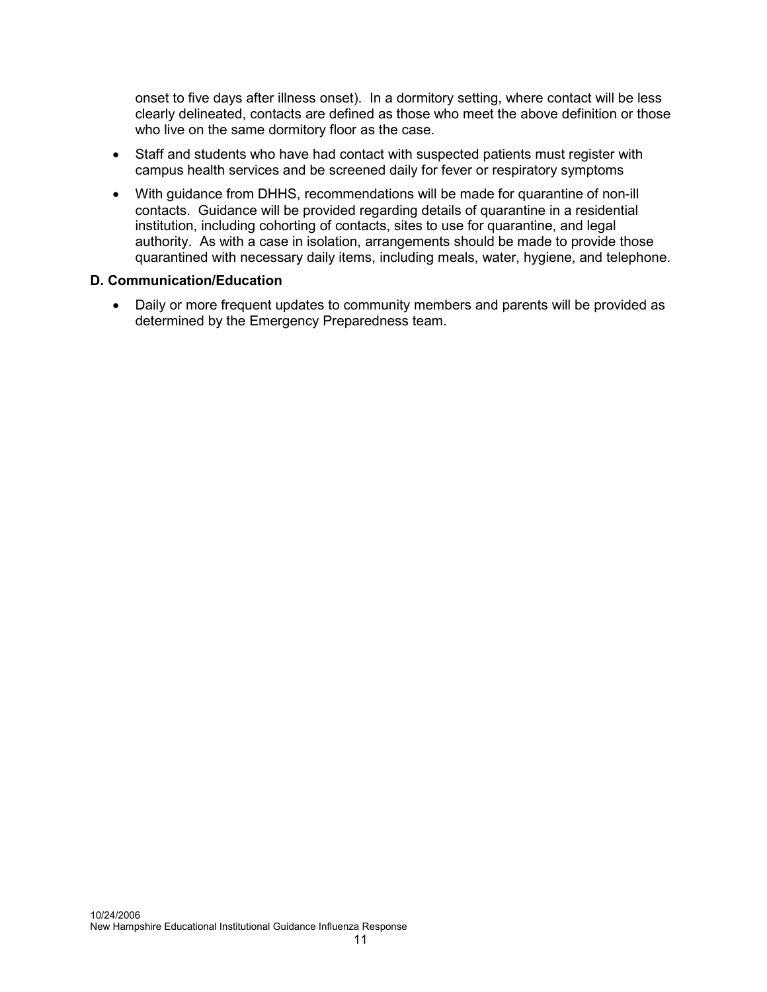onset to five days after illness onset). In a dormitory setting, where contact will be less clearly delineated, contacts are defined as those who meet the above definition or those who live on the same dormitory floor as the case.

- Staff and students who have had contact with suspected patients must register with campus health services and be screened daily for fever or respiratory symptoms
- With guidance from DHHS, recommendations will be made for quarantine of non-ill contacts. Guidance will be provided regarding details of quarantine in a residential institution, including cohorting of contacts, sites to use for quarantine, and legal authority. As with a case in isolation, arrangements should be made to provide those quarantined with necessary daily items, including meals, water, hygiene, and telephone.

### D. Communication/Education

• Daily or more frequent updates to community members and parents will be provided as determined by the Emergency Preparedness team.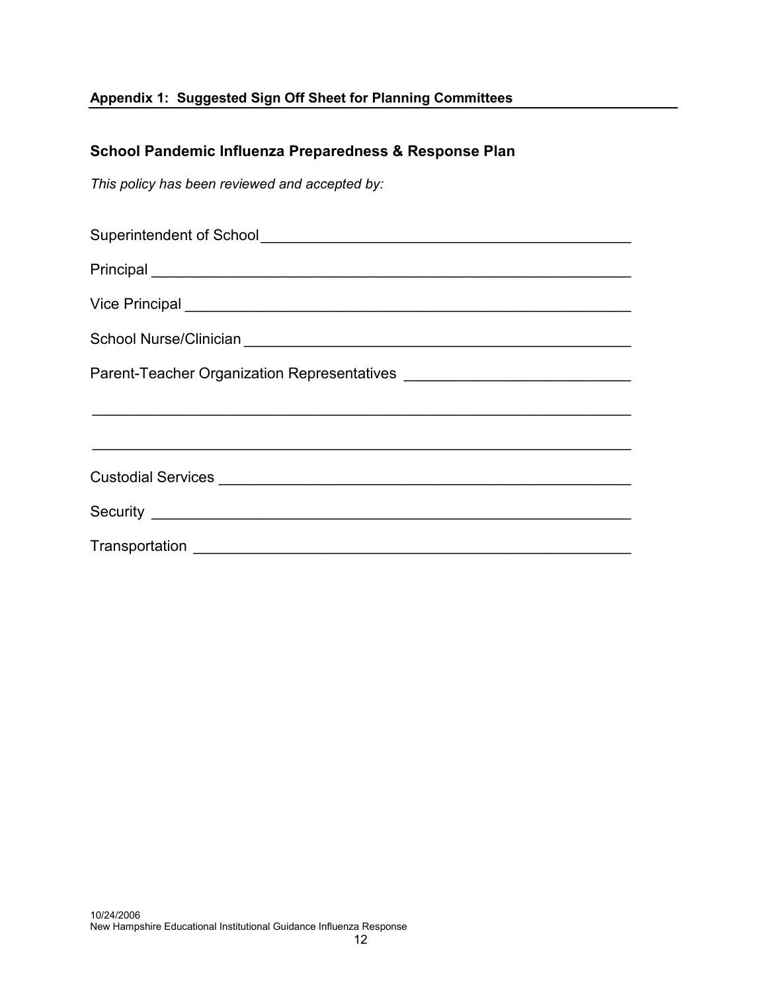# Appendix 1: Suggested Sign Off Sheet for Planning Committees

# School Pandemic Influenza Preparedness & Response Plan

This policy has been reviewed and accepted by:

| Principal <u>expression and the set of the set of the set of the set of the set of the set of the set of the set of the set of the set of the set of the set of the set of the set of the set of the set of the set of the set o</u> |  |
|--------------------------------------------------------------------------------------------------------------------------------------------------------------------------------------------------------------------------------------|--|
|                                                                                                                                                                                                                                      |  |
|                                                                                                                                                                                                                                      |  |
|                                                                                                                                                                                                                                      |  |
|                                                                                                                                                                                                                                      |  |
|                                                                                                                                                                                                                                      |  |
|                                                                                                                                                                                                                                      |  |
|                                                                                                                                                                                                                                      |  |
|                                                                                                                                                                                                                                      |  |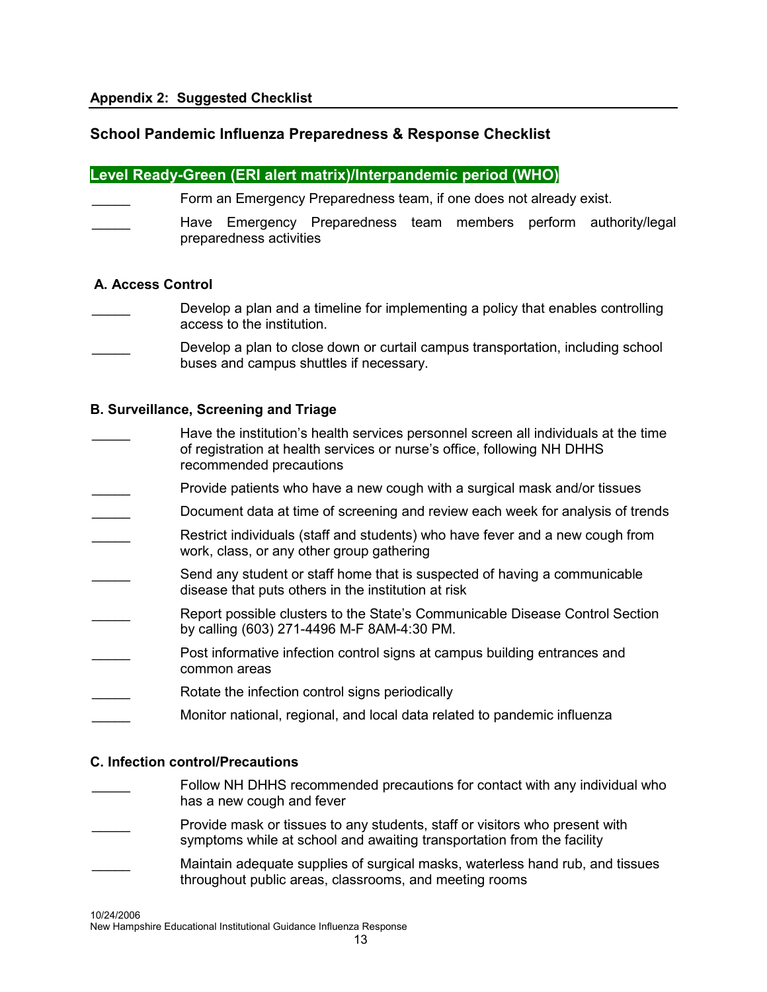## School Pandemic Influenza Preparedness & Response Checklist

### Level Ready-Green (ERI alert matrix)/Interpandemic period (WHO)

- Form an Emergency Preparedness team, if one does not already exist.
- Have Emergency Preparedness team members perform authority/legal preparedness activities

#### A. Access Control

- Develop a plan and a timeline for implementing a policy that enables controlling access to the institution.
- Develop a plan to close down or curtail campus transportation, including school buses and campus shuttles if necessary.

#### B. Surveillance, Screening and Triage

- Have the institution's health services personnel screen all individuals at the time of registration at health services or nurse's office, following NH DHHS recommended precautions
- Provide patients who have a new cough with a surgical mask and/or tissues
- Document data at time of screening and review each week for analysis of trends
- Restrict individuals (staff and students) who have fever and a new cough from work, class, or any other group gathering
- Send any student or staff home that is suspected of having a communicable disease that puts others in the institution at risk
- Report possible clusters to the State's Communicable Disease Control Section by calling (603) 271-4496 M-F 8AM-4:30 PM.
- Post informative infection control signs at campus building entrances and common areas
- Rotate the infection control signs periodically
- Monitor national, regional, and local data related to pandemic influenza

#### C. Infection control/Precautions

- Follow NH DHHS recommended precautions for contact with any individual who has a new cough and fever
- Provide mask or tissues to any students, staff or visitors who present with symptoms while at school and awaiting transportation from the facility
- Maintain adequate supplies of surgical masks, waterless hand rub, and tissues throughout public areas, classrooms, and meeting rooms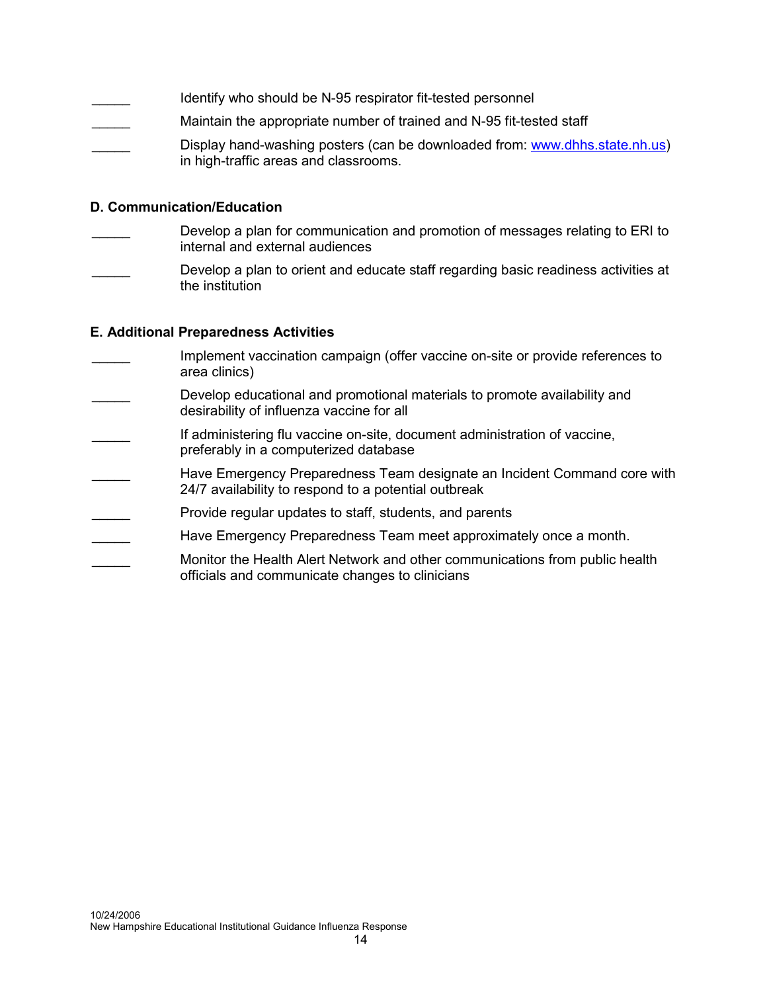|                    | Identify who should be N-95 respirator fit-tested personnel                                                          |
|--------------------|----------------------------------------------------------------------------------------------------------------------|
| and the control of | Maintain the appropriate number of trained and N-95 fit-tested staff                                                 |
|                    | Display hand-washing posters (can be downloaded from: www.dhhs.state.nh.us)<br>in high-traffic areas and classrooms. |

### D. Communication/Education

- Develop a plan for communication and promotion of messages relating to ERI to internal and external audiences
- Develop a plan to orient and educate staff regarding basic readiness activities at the institution

#### E. Additional Preparedness Activities

Implement vaccination campaign (offer vaccine on-site or provide references to area clinics) Develop educational and promotional materials to promote availability and desirability of influenza vaccine for all If administering flu vaccine on-site, document administration of vaccine, preferably in a computerized database Have Emergency Preparedness Team designate an Incident Command core with 24/7 availability to respond to a potential outbreak Provide regular updates to staff, students, and parents Have Emergency Preparedness Team meet approximately once a month. Monitor the Health Alert Network and other communications from public health officials and communicate changes to clinicians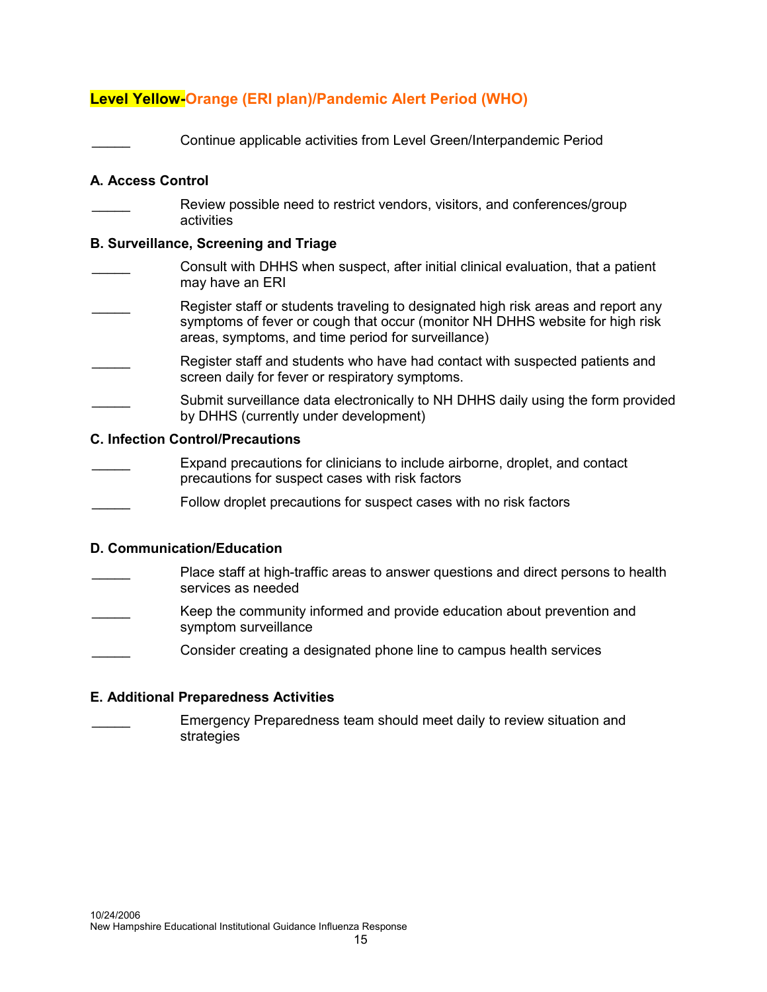# Level Yellow-Orange (ERI plan)/Pandemic Alert Period (WHO)

\_\_\_\_\_ Continue applicable activities from Level Green/Interpandemic Period

#### A. Access Control

Review possible need to restrict vendors, visitors, and conferences/group activities

#### B. Surveillance, Screening and Triage

- \_\_\_\_\_ Consult with DHHS when suspect, after initial clinical evaluation, that a patient may have an ERI
- Register staff or students traveling to designated high risk areas and report any symptoms of fever or cough that occur (monitor NH DHHS website for high risk areas, symptoms, and time period for surveillance)
- Register staff and students who have had contact with suspected patients and screen daily for fever or respiratory symptoms.
- Submit surveillance data electronically to NH DHHS daily using the form provided by DHHS (currently under development)

#### C. Infection Control/Precautions

- Expand precautions for clinicians to include airborne, droplet, and contact precautions for suspect cases with risk factors
- Follow droplet precautions for suspect cases with no risk factors

#### D. Communication/Education

- Place staff at high-traffic areas to answer questions and direct persons to health services as needed
- Keep the community informed and provide education about prevention and symptom surveillance
- \_\_\_\_\_ Consider creating a designated phone line to campus health services

#### E. Additional Preparedness Activities

\_\_\_\_\_ Emergency Preparedness team should meet daily to review situation and strategies